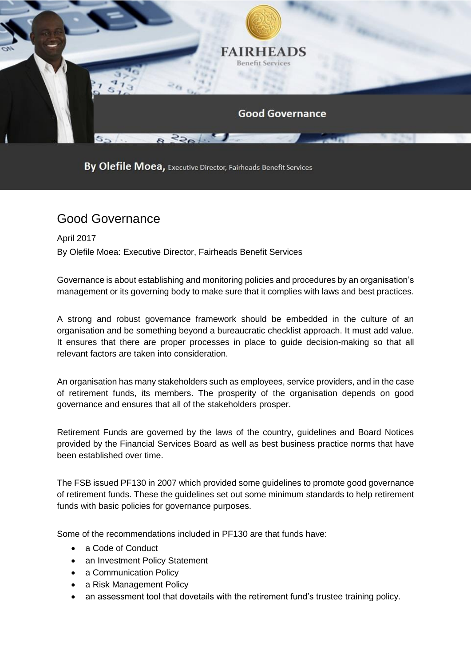

By Olefile Moea, Executive Director, Fairheads Benefit Services

## Good Governance

April 2017 By Olefile Moea: Executive Director, Fairheads Benefit Services

Governance is about establishing and monitoring policies and procedures by an organisation's management or its governing body to make sure that it complies with laws and best practices.

A strong and robust governance framework should be embedded in the culture of an organisation and be something beyond a bureaucratic checklist approach. It must add value. It ensures that there are proper processes in place to guide decision-making so that all relevant factors are taken into consideration.

An organisation has many stakeholders such as employees, service providers, and in the case of retirement funds, its members. The prosperity of the organisation depends on good governance and ensures that all of the stakeholders prosper.

Retirement Funds are governed by the laws of the country, guidelines and Board Notices provided by the Financial Services Board as well as best business practice norms that have been established over time.

The FSB issued PF130 in 2007 which provided some guidelines to promote good governance of retirement funds. These the guidelines set out some minimum standards to help retirement funds with basic policies for governance purposes.

Some of the recommendations included in PF130 are that funds have:

- a Code of Conduct
- an Investment Policy Statement
- a Communication Policy
- a Risk Management Policy
- an assessment tool that dovetails with the retirement fund's trustee training policy.